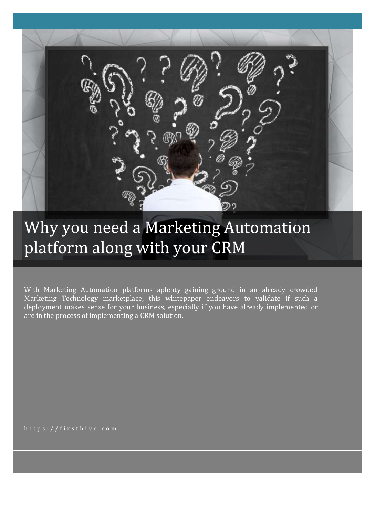# Why you need a Marketing Automation platform along with your CRM

With Marketing Automation platforms aplenty gaining ground in an already crowded Marketing Technology marketplace, this whitepaper endeavors to validate if such a deployment makes sense for your business, especially if you have already implemented or are in the process of implementing a CRM solution.

https://firsthive.com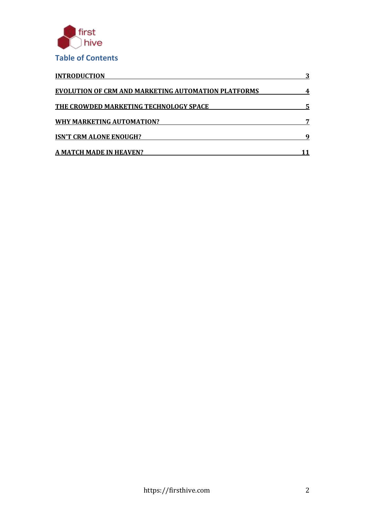

| <b>INTRODUCTION</b><br><b>EVOLUTION OF CRM AND MARKETING AUTOMATION PLATFORMS</b><br>THE CROWDED MARKETING TECHNOLOGY SPACE<br><b>WHY MARKETING AUTOMATION?</b><br><b>ISN'T CRM ALONE ENOUGH?</b><br><b>A MATCH MADE IN HEAVEN?</b> |   |
|-------------------------------------------------------------------------------------------------------------------------------------------------------------------------------------------------------------------------------------|---|
|                                                                                                                                                                                                                                     |   |
|                                                                                                                                                                                                                                     | 5 |
|                                                                                                                                                                                                                                     |   |
|                                                                                                                                                                                                                                     | q |
|                                                                                                                                                                                                                                     |   |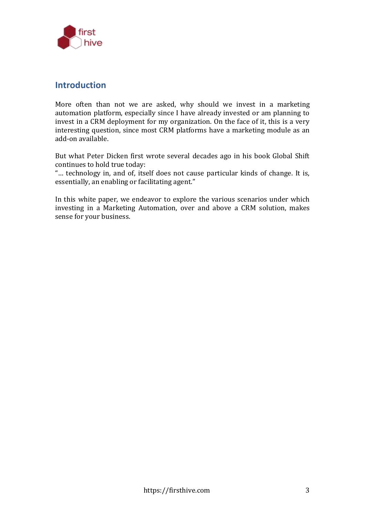

#### **Introduction**

More often than not we are asked, why should we invest in a marketing automation platform, especially since I have already invested or am planning to invest in a CRM deployment for my organization. On the face of it, this is a very interesting question, since most CRM platforms have a marketing module as an add-on available.

But what Peter Dicken first wrote several decades ago in his book Global Shift continues to hold true today:

"… technology in, and of, itself does not cause particular kinds of change. It is, essentially, an enabling or facilitating agent."

In this white paper, we endeavor to explore the various scenarios under which investing in a Marketing Automation, over and above a CRM solution, makes sense for your business.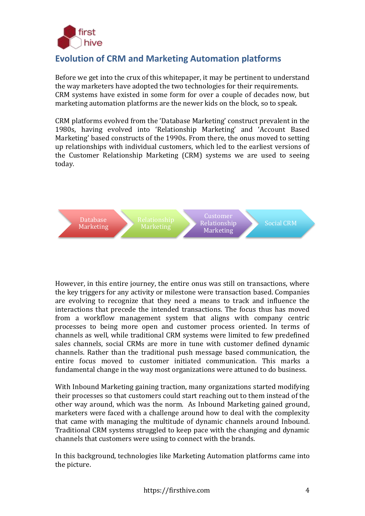

# **Evolution of CRM and Marketing Automation platforms**

Before we get into the crux of this whitepaper, it may be pertinent to understand the way marketers have adopted the two technologies for their requirements. CRM systems have existed in some form for over a couple of decades now, but marketing automation platforms are the newer kids on the block, so to speak.

CRM platforms evolved from the 'Database Marketing' construct prevalent in the 1980s, having evolved into 'Relationship Marketing' and 'Account Based Marketing' based constructs of the 1990s. From there, the onus moved to setting up relationships with individual customers, which led to the earliest versions of the Customer Relationship Marketing (CRM) systems we are used to seeing today.



However, in this entire journey, the entire onus was still on transactions, where the key triggers for any activity or milestone were transaction based. Companies are evolving to recognize that they need a means to track and influence the interactions that precede the intended transactions. The focus thus has moved from a workflow management system that aligns with company centric processes to being more open and customer process oriented. In terms of channels as well, while traditional CRM systems were limited to few predefined sales channels, social CRMs are more in tune with customer defined dynamic channels. Rather than the traditional push message based communication, the entire focus moved to customer initiated communication. This marks a fundamental change in the way most organizations were attuned to do business.

With Inbound Marketing gaining traction, many organizations started modifying their processes so that customers could start reaching out to them instead of the other way around, which was the norm. As Inbound Marketing gained ground, marketers were faced with a challenge around how to deal with the complexity that came with managing the multitude of dynamic channels around Inbound. Traditional CRM systems struggled to keep pace with the changing and dynamic channels that customers were using to connect with the brands.

In this background, technologies like Marketing Automation platforms came into the picture.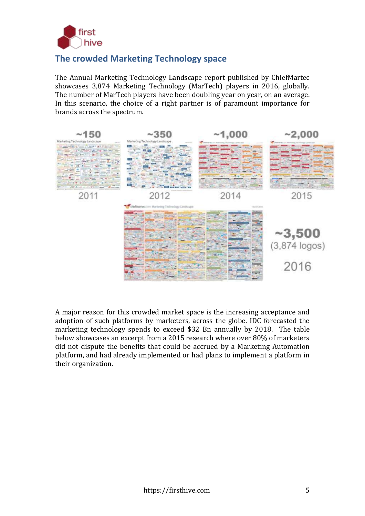

## **The crowded Marketing Technology space**

The Annual Marketing Technology Landscape report published by ChiefMartec showcases 3,874 Marketing Technology (MarTech) players in 2016, globally. The number of MarTech players have been doubling year on year, on an average. In this scenario, the choice of a right partner is of paramount importance for brands across the spectrum.



A major reason for this crowded market space is the increasing acceptance and adoption of such platforms by marketers, across the globe. IDC forecasted the marketing technology spends to exceed \$32 Bn annually by 2018. The table below showcases an excerpt from a 2015 research where over 80% of marketers did not dispute the benefits that could be accrued by a Marketing Automation platform, and had already implemented or had plans to implement a platform in their organization.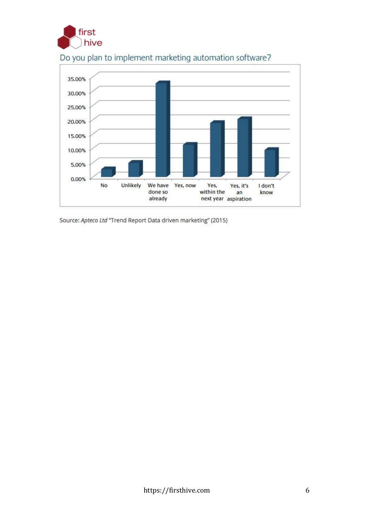



# Do you plan to implement marketing automation software?

Source: Apteco Ltd "Trend Report Data driven marketing" (2015)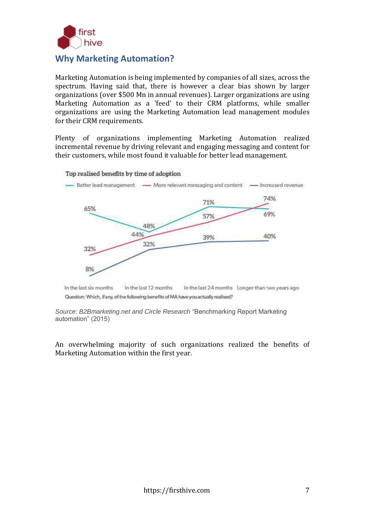

### **Why Marketing Automation?**

Marketing Automation is being implemented by companies of all sizes, across the spectrum. Having said that, there is however a clear bias shown by larger organizations (over \$500 Mn in annual revenues). Larger organizations are using Marketing Automation as a 'feed' to their CRM platforms, while smaller organizations are using the Marketing Automation lead management modules for their CRM requirements.

Plenty of organizations implementing Marketing Automation realized incremental revenue by driving relevant and engaging messaging and content for their customers, while most found it valuable for better lead management.

#### Top realised benefits by time of adoption



In the last six months In the last 12 months In the last 24 months Longer than two years ago Question: Which, if any, of the following benefits of MA have you actually realised?

*Source: B2Bmarketing.net and Circle Research* "Benchmarking Report Marketing automation" (2015)

An overwhelming majority of such organizations realized the benefits of Marketing Automation within the first year.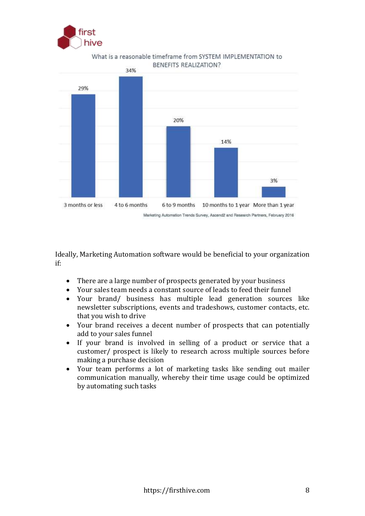



What is a reasonable timeframe from SYSTEM IMPLEMENTATION to BENEFITS REALIZATION?

Ideally, Marketing Automation software would be beneficial to your organization if:

- There are a large number of prospects generated by your business
- Your sales team needs a constant source of leads to feed their funnel
- Your brand/ business has multiple lead generation sources like newsletter subscriptions, events and tradeshows, customer contacts, etc. that you wish to drive
- Your brand receives a decent number of prospects that can potentially add to your sales funnel
- If your brand is involved in selling of a product or service that a customer/ prospect is likely to research across multiple sources before making a purchase decision
- Your team performs a lot of marketing tasks like sending out mailer communication manually, whereby their time usage could be optimized by automating such tasks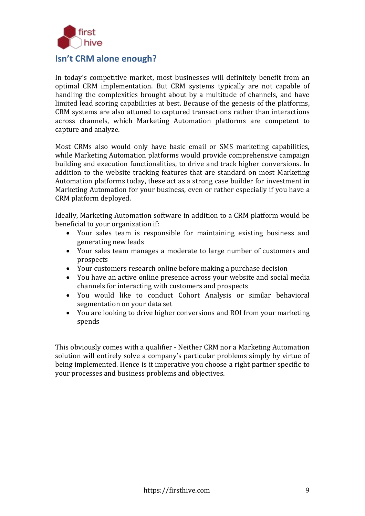

**Isn't CRM alone enough?**

In today's competitive market, most businesses will definitely benefit from an optimal CRM implementation. But CRM systems typically are not capable of handling the complexities brought about by a multitude of channels, and have limited lead scoring capabilities at best. Because of the genesis of the platforms, CRM systems are also attuned to captured transactions rather than interactions across channels, which Marketing Automation platforms are competent to capture and analyze.

Most CRMs also would only have basic email or SMS marketing capabilities, while Marketing Automation platforms would provide comprehensive campaign building and execution functionalities, to drive and track higher conversions. In addition to the website tracking features that are standard on most Marketing Automation platforms today, these act as a strong case builder for investment in Marketing Automation for your business, even or rather especially if you have a CRM platform deployed.

Ideally, Marketing Automation software in addition to a CRM platform would be beneficial to your organization if:

- Your sales team is responsible for maintaining existing business and generating new leads
- Your sales team manages a moderate to large number of customers and prospects
- Your customers research online before making a purchase decision
- You have an active online presence across your website and social media channels for interacting with customers and prospects
- You would like to conduct Cohort Analysis or similar behavioral segmentation on your data set
- You are looking to drive higher conversions and ROI from your marketing spends

This obviously comes with a qualifier - Neither CRM nor a Marketing Automation solution will entirely solve a company's particular problems simply by virtue of being implemented. Hence is it imperative you choose a right partner specific to your processes and business problems and objectives.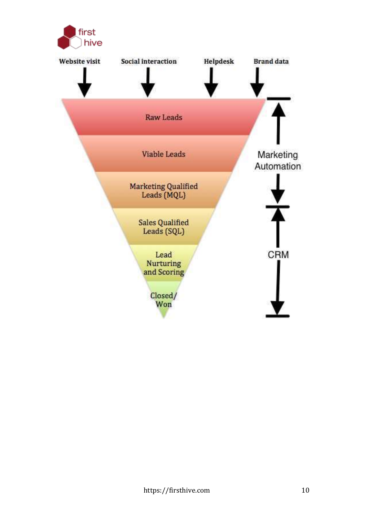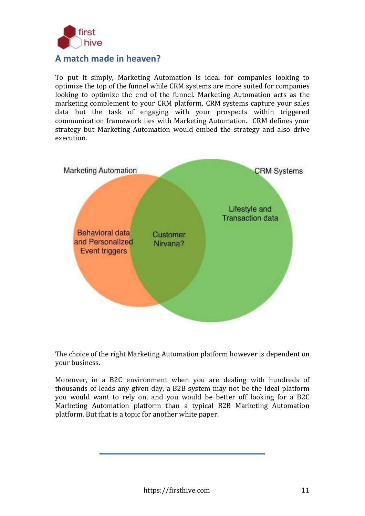

#### **A match made in heaven?**

To put it simply, Marketing Automation is ideal for companies looking to optimize the top of the funnel while CRM systems are more suited for companies looking to optimize the end of the funnel. Marketing Automation acts as the marketing complement to your CRM platform. CRM systems capture your sales data but the task of engaging with your prospects within triggered communication framework lies with Marketing Automation. CRM defines your strategy but Marketing Automation would embed the strategy and also drive execution.



The choice of the right Marketing Automation platform however is dependent on your business.

Moreover, in a B2C environment when you are dealing with hundreds of thousands of leads any given day, a B2B system may not be the ideal platform you would want to rely on, and you would be better off looking for a B2C Marketing Automation platform than a typical B2B Marketing Automation platform. But that is a topic for another white paper.